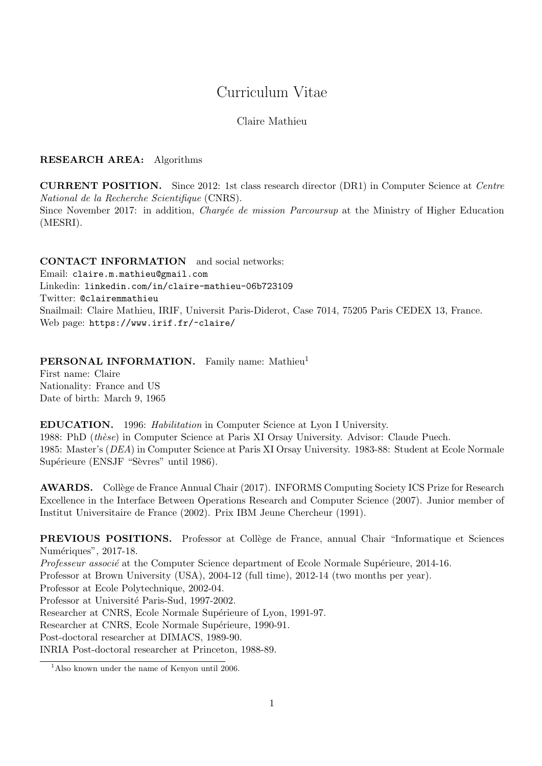# Curriculum Vitae

### Claire Mathieu

### RESEARCH AREA: Algorithms

CURRENT POSITION. Since 2012: 1st class research director (DR1) in Computer Science at Centre National de la Recherche Scientifique (CNRS). Since November 2017: in addition, *Chargée de mission Parcoursup* at the Ministry of Higher Education (MESRI).

CONTACT INFORMATION and social networks: Email: claire.m.mathieu@gmail.com Linkedin: linkedin.com/in/claire-mathieu-06b723109 Twitter: @clairemmathieu Snailmail: Claire Mathieu, IRIF, Universit Paris-Diderot, Case 7014, 75205 Paris CEDEX 13, France. Web page: https://www.irif.fr/~claire/

PERSONAL INFORMATION. Family name: Mathieu<sup>1</sup>

First name: Claire Nationality: France and US Date of birth: March 9, 1965

EDUCATION. 1996: Habilitation in Computer Science at Lyon I University. 1988: PhD (thèse) in Computer Science at Paris XI Orsay University. Advisor: Claude Puech. 1985: Master's (DEA) in Computer Science at Paris XI Orsay University. 1983-88: Student at Ecole Normale Supérieure (ENSJF "Sèvres" until 1986).

AWARDS. Collège de France Annual Chair (2017). INFORMS Computing Society ICS Prize for Research Excellence in the Interface Between Operations Research and Computer Science (2007). Junior member of Institut Universitaire de France (2002). Prix IBM Jeune Chercheur (1991).

PREVIOUS POSITIONS. Professor at Collège de France, annual Chair "Informatique et Sciences" Numériques", 2017-18. Professeur associé at the Computer Science department of Ecole Normale Supérieure, 2014-16. Professor at Brown University (USA), 2004-12 (full time), 2012-14 (two months per year). Professor at Ecole Polytechnique, 2002-04. Professor at Université Paris-Sud, 1997-2002. Researcher at CNRS, Ecole Normale Supérieure of Lyon, 1991-97. Researcher at CNRS, Ecole Normale Supérieure, 1990-91. Post-doctoral researcher at DIMACS, 1989-90.

INRIA Post-doctoral researcher at Princeton, 1988-89.

<sup>&</sup>lt;sup>1</sup>Also known under the name of Kenyon until 2006.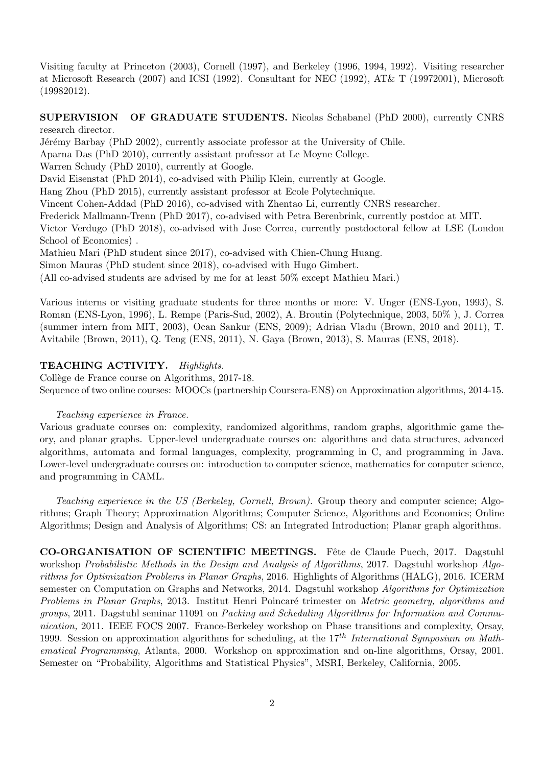Visiting faculty at Princeton (2003), Cornell (1997), and Berkeley (1996, 1994, 1992). Visiting researcher at Microsoft Research (2007) and ICSI (1992). Consultant for NEC (1992), AT& T (19972001), Microsoft (19982012).

SUPERVISION OF GRADUATE STUDENTS. Nicolas Schabanel (PhD 2000), currently CNRS research director.

Jérémy Barbay (PhD 2002), currently associate professor at the University of Chile.

Aparna Das (PhD 2010), currently assistant professor at Le Moyne College.

Warren Schudy (PhD 2010), currently at Google.

David Eisenstat (PhD 2014), co-advised with Philip Klein, currently at Google.

Hang Zhou (PhD 2015), currently assistant professor at Ecole Polytechnique.

Vincent Cohen-Addad (PhD 2016), co-advised with Zhentao Li, currently CNRS researcher.

Frederick Mallmann-Trenn (PhD 2017), co-advised with Petra Berenbrink, currently postdoc at MIT.

Victor Verdugo (PhD 2018), co-advised with Jose Correa, currently postdoctoral fellow at LSE (London School of Economics) .

Mathieu Mari (PhD student since 2017), co-advised with Chien-Chung Huang.

Simon Mauras (PhD student since 2018), co-advised with Hugo Gimbert.

(All co-advised students are advised by me for at least 50% except Mathieu Mari.)

Various interns or visiting graduate students for three months or more: V. Unger (ENS-Lyon, 1993), S. Roman (ENS-Lyon, 1996), L. Rempe (Paris-Sud, 2002), A. Broutin (Polytechnique, 2003, 50% ), J. Correa (summer intern from MIT, 2003), Ocan Sankur (ENS, 2009); Adrian Vladu (Brown, 2010 and 2011), T. Avitabile (Brown, 2011), Q. Teng (ENS, 2011), N. Gaya (Brown, 2013), S. Mauras (ENS, 2018).

### TEACHING ACTIVITY. Highlights.

Collège de France course on Algorithms, 2017-18. Sequence of two online courses: MOOCs (partnership Coursera-ENS) on Approximation algorithms, 2014-15.

### Teaching experience in France.

Various graduate courses on: complexity, randomized algorithms, random graphs, algorithmic game theory, and planar graphs. Upper-level undergraduate courses on: algorithms and data structures, advanced algorithms, automata and formal languages, complexity, programming in C, and programming in Java. Lower-level undergraduate courses on: introduction to computer science, mathematics for computer science, and programming in CAML.

Teaching experience in the US (Berkeley, Cornell, Brown). Group theory and computer science; Algorithms; Graph Theory; Approximation Algorithms; Computer Science, Algorithms and Economics; Online Algorithms; Design and Analysis of Algorithms; CS: an Integrated Introduction; Planar graph algorithms.

CO-ORGANISATION OF SCIENTIFIC MEETINGS. Fête de Claude Puech, 2017. Dagstuhl workshop Probabilistic Methods in the Design and Analysis of Algorithms, 2017. Dagstuhl workshop Algorithms for Optimization Problems in Planar Graphs, 2016. Highlights of Algorithms (HALG), 2016. ICERM semester on Computation on Graphs and Networks, 2014. Dagstuhl workshop Algorithms for Optimization Problems in Planar Graphs, 2013. Institut Henri Poincaré trimester on Metric geometry, algorithms and groups, 2011. Dagstuhl seminar 11091 on Packing and Scheduling Algorithms for Information and Communication, 2011. IEEE FOCS 2007. France-Berkeley workshop on Phase transitions and complexity, Orsay, 1999. Session on approximation algorithms for scheduling, at the  $17^{th}$  International Symposium on Mathematical Programming, Atlanta, 2000. Workshop on approximation and on-line algorithms, Orsay, 2001. Semester on "Probability, Algorithms and Statistical Physics", MSRI, Berkeley, California, 2005.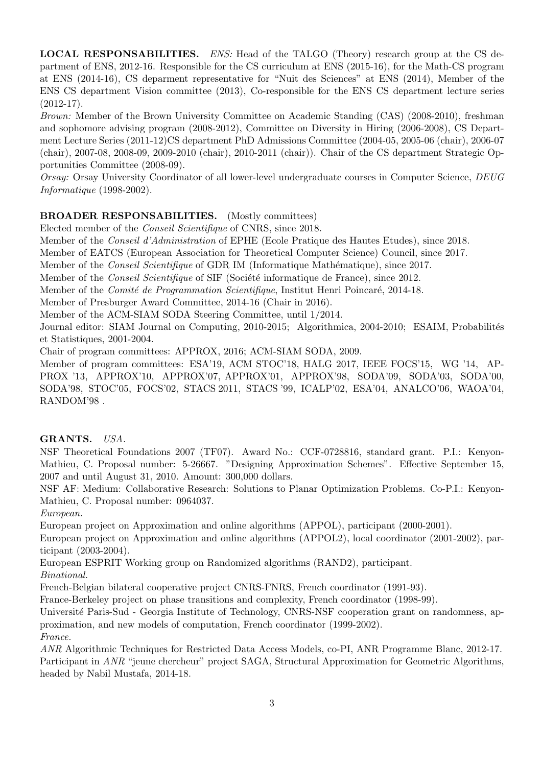LOCAL RESPONSABILITIES. ENS: Head of the TALGO (Theory) research group at the CS department of ENS, 2012-16. Responsible for the CS curriculum at ENS (2015-16), for the Math-CS program at ENS (2014-16), CS deparment representative for "Nuit des Sciences" at ENS (2014), Member of the ENS CS department Vision committee (2013), Co-responsible for the ENS CS department lecture series  $(2012-17)$ .

Brown: Member of the Brown University Committee on Academic Standing (CAS) (2008-2010), freshman and sophomore advising program (2008-2012), Committee on Diversity in Hiring (2006-2008), CS Department Lecture Series (2011-12)CS department PhD Admissions Committee (2004-05, 2005-06 (chair), 2006-07 (chair), 2007-08, 2008-09, 2009-2010 (chair), 2010-2011 (chair)). Chair of the CS department Strategic Opportunities Committee (2008-09).

Orsay: Orsay University Coordinator of all lower-level undergraduate courses in Computer Science, DEUG Informatique (1998-2002).

# BROADER RESPONSABILITIES. (Mostly committees)

Elected member of the Conseil Scientifique of CNRS, since 2018.

Member of the *Conseil d'Administration* of EPHE (Ecole Pratique des Hautes Etudes), since 2018.

Member of EATCS (European Association for Theoretical Computer Science) Council, since 2017.

Member of the *Conseil Scientifique* of GDR IM (Informatique Mathématique), since 2017.

Member of the *Conseil Scientifique* of SIF (Société informatique de France), since 2012.

Member of the *Comité de Programmation Scientifique*, Institut Henri Poincaré, 2014-18.

Member of Presburger Award Committee, 2014-16 (Chair in 2016).

Member of the ACM-SIAM SODA Steering Committee, until 1/2014.

Journal editor: SIAM Journal on Computing, 2010-2015; Algorithmica, 2004-2010; ESAIM, Probabilités et Statistiques, 2001-2004.

Chair of program committees: APPROX, 2016; ACM-SIAM SODA, 2009.

Member of program committees: ESA'19, ACM STOC'18, HALG 2017, IEEE FOCS'15, WG '14, AP-PROX '13, APPROX'10, APPROX'07, APPROX'01, APPROX'98, SODA'09, SODA'03, SODA'00, SODA'98, STOC'05, FOCS'02, STACS 2011, STACS '99, ICALP'02, ESA'04, ANALCO'06, WAOA'04, RANDOM'98 .

# GRANTS. USA.

NSF Theoretical Foundations 2007 (TF07). Award No.: CCF-0728816, standard grant. P.I.: Kenyon-Mathieu, C. Proposal number: 5-26667. "Designing Approximation Schemes". Effective September 15, 2007 and until August 31, 2010. Amount: 300,000 dollars.

NSF AF: Medium: Collaborative Research: Solutions to Planar Optimization Problems. Co-P.I.: Kenyon-Mathieu, C. Proposal number: 0964037.

European.

European project on Approximation and online algorithms (APPOL), participant (2000-2001).

European project on Approximation and online algorithms (APPOL2), local coordinator (2001-2002), participant (2003-2004).

European ESPRIT Working group on Randomized algorithms (RAND2), participant. Binational.

French-Belgian bilateral cooperative project CNRS-FNRS, French coordinator (1991-93).

France-Berkeley project on phase transitions and complexity, French coordinator (1998-99).

Université Paris-Sud - Georgia Institute of Technology, CNRS-NSF cooperation grant on randomness, approximation, and new models of computation, French coordinator (1999-2002).

France.

ANR Algorithmic Techniques for Restricted Data Access Models, co-PI, ANR Programme Blanc, 2012-17. Participant in ANR "jeune chercheur" project SAGA, Structural Approximation for Geometric Algorithms, headed by Nabil Mustafa, 2014-18.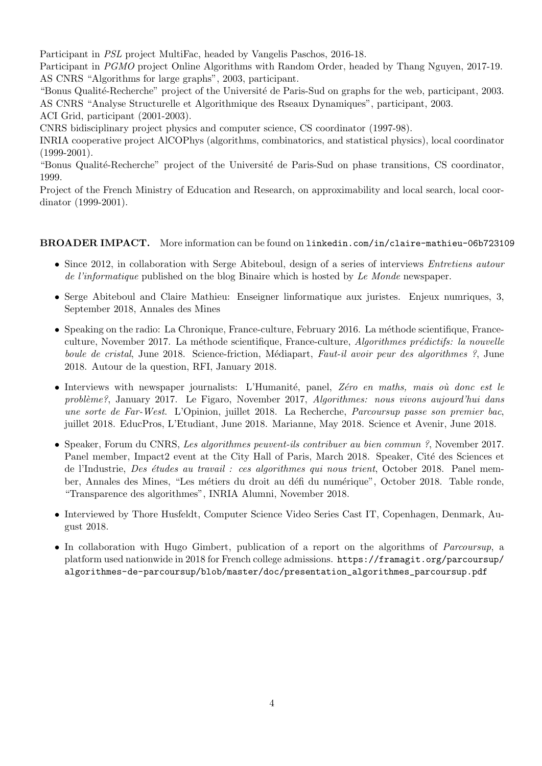Participant in PSL project MultiFac, headed by Vangelis Paschos, 2016-18.

Participant in *PGMO* project Online Algorithms with Random Order, headed by Thang Nguyen, 2017-19. AS CNRS "Algorithms for large graphs", 2003, participant.

"Bonus Qualité-Recherche" project of the Université de Paris-Sud on graphs for the web, participant, 2003. AS CNRS "Analyse Structurelle et Algorithmique des Rseaux Dynamiques", participant, 2003.

ACI Grid, participant (2001-2003).

CNRS bidisciplinary project physics and computer science, CS coordinator (1997-98).

INRIA cooperative project AlCOPhys (algorithms, combinatorics, and statistical physics), local coordinator (1999-2001).

"Bonus Qualité-Recherche" project of the Université de Paris-Sud on phase transitions, CS coordinator, 1999.

Project of the French Ministry of Education and Research, on approximability and local search, local coordinator (1999-2001).

### BROADER IMPACT. More information can be found on linkedin.com/in/claire-mathieu-06b723109

- Since 2012, in collaboration with Serge Abiteboul, design of a series of interviews *Entretiens autour* de l'informatique published on the blog Binaire which is hosted by Le Monde newspaper.
- Serge Abiteboul and Claire Mathieu: Enseigner linformatique aux juristes. Enjeux numriques, 3, September 2018, Annales des Mines
- Speaking on the radio: La Chronique, France-culture, February 2016. La méthode scientifique, Franceculture, November 2017. La méthode scientifique, France-culture, Algorithmes prédictifs: la nouvelle boule de cristal, June 2018. Science-friction, Médiapart, Faut-il avoir peur des algorithmes ?, June 2018. Autour de la question, RFI, January 2018.
- Interviews with newspaper journalists: L'Humanité, panel, Zéro en maths, mais où donc est le problème?, January 2017. Le Figaro, November 2017, Algorithmes: nous vivons aujourd'hui dans une sorte de Far-West. L'Opinion, juillet 2018. La Recherche, Parcoursup passe son premier bac, juillet 2018. EducPros, L'Etudiant, June 2018. Marianne, May 2018. Science et Avenir, June 2018.
- Speaker, Forum du CNRS, Les algorithmes peuvent-ils contribuer au bien commun ?, November 2017. Panel member, Impact2 event at the City Hall of Paris, March 2018. Speaker, Cité des Sciences et de l'Industrie, *Des études au travail : ces algorithmes qui nous trient*, October 2018. Panel member, Annales des Mines, "Les métiers du droit au défi du numérique", October 2018. Table ronde, "Transparence des algorithmes", INRIA Alumni, November 2018.
- Interviewed by Thore Husfeldt, Computer Science Video Series Cast IT, Copenhagen, Denmark, August 2018.
- In collaboration with Hugo Gimbert, publication of a report on the algorithms of Parcoursup, a platform used nationwide in 2018 for French college admissions. https://framagit.org/parcoursup/ algorithmes-de-parcoursup/blob/master/doc/presentation\_algorithmes\_parcoursup.pdf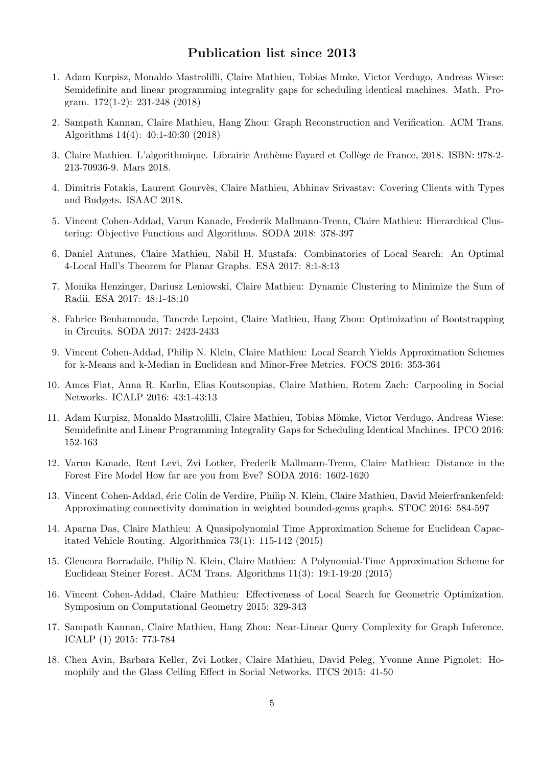# Publication list since 2013

- 1. Adam Kurpisz, Monaldo Mastrolilli, Claire Mathieu, Tobias Mmke, Victor Verdugo, Andreas Wiese: Semidefinite and linear programming integrality gaps for scheduling identical machines. Math. Program. 172(1-2): 231-248 (2018)
- 2. Sampath Kannan, Claire Mathieu, Hang Zhou: Graph Reconstruction and Verification. ACM Trans. Algorithms 14(4): 40:1-40:30 (2018)
- 3. Claire Mathieu. L'algorithmique. Librairie Anthème Fayard et Collège de France, 2018. ISBN: 978-2-213-70936-9. Mars 2018.
- 4. Dimitris Fotakis, Laurent Gourvès, Claire Mathieu, Abhinav Srivastav: Covering Clients with Types and Budgets. ISAAC 2018.
- 5. Vincent Cohen-Addad, Varun Kanade, Frederik Mallmann-Trenn, Claire Mathieu: Hierarchical Clustering: Objective Functions and Algorithms. SODA 2018: 378-397
- 6. Daniel Antunes, Claire Mathieu, Nabil H. Mustafa: Combinatorics of Local Search: An Optimal 4-Local Hall's Theorem for Planar Graphs. ESA 2017: 8:1-8:13
- 7. Monika Henzinger, Dariusz Leniowski, Claire Mathieu: Dynamic Clustering to Minimize the Sum of Radii. ESA 2017: 48:1-48:10
- 8. Fabrice Benhamouda, Tancrde Lepoint, Claire Mathieu, Hang Zhou: Optimization of Bootstrapping in Circuits. SODA 2017: 2423-2433
- 9. Vincent Cohen-Addad, Philip N. Klein, Claire Mathieu: Local Search Yields Approximation Schemes for k-Means and k-Median in Euclidean and Minor-Free Metrics. FOCS 2016: 353-364
- 10. Amos Fiat, Anna R. Karlin, Elias Koutsoupias, Claire Mathieu, Rotem Zach: Carpooling in Social Networks. ICALP 2016: 43:1-43:13
- 11. Adam Kurpisz, Monaldo Mastrolilli, Claire Mathieu, Tobias Mömke, Victor Verdugo, Andreas Wiese: Semidefinite and Linear Programming Integrality Gaps for Scheduling Identical Machines. IPCO 2016: 152-163
- 12. Varun Kanade, Reut Levi, Zvi Lotker, Frederik Mallmann-Trenn, Claire Mathieu: Distance in the Forest Fire Model How far are you from Eve? SODA 2016: 1602-1620
- 13. Vincent Cohen-Addad, éric Colin de Verdire, Philip N. Klein, Claire Mathieu, David Meierfrankenfeld: Approximating connectivity domination in weighted bounded-genus graphs. STOC 2016: 584-597
- 14. Aparna Das, Claire Mathieu: A Quasipolynomial Time Approximation Scheme for Euclidean Capacitated Vehicle Routing. Algorithmica 73(1): 115-142 (2015)
- 15. Glencora Borradaile, Philip N. Klein, Claire Mathieu: A Polynomial-Time Approximation Scheme for Euclidean Steiner Forest. ACM Trans. Algorithms 11(3): 19:1-19:20 (2015)
- 16. Vincent Cohen-Addad, Claire Mathieu: Effectiveness of Local Search for Geometric Optimization. Symposium on Computational Geometry 2015: 329-343
- 17. Sampath Kannan, Claire Mathieu, Hang Zhou: Near-Linear Query Complexity for Graph Inference. ICALP (1) 2015: 773-784
- 18. Chen Avin, Barbara Keller, Zvi Lotker, Claire Mathieu, David Peleg, Yvonne Anne Pignolet: Homophily and the Glass Ceiling Effect in Social Networks. ITCS 2015: 41-50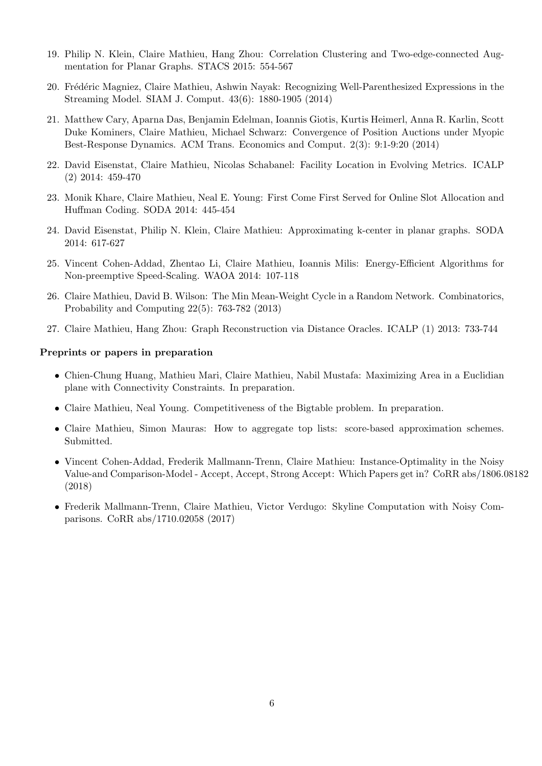- 19. Philip N. Klein, Claire Mathieu, Hang Zhou: Correlation Clustering and Two-edge-connected Augmentation for Planar Graphs. STACS 2015: 554-567
- 20. Frédéric Magniez, Claire Mathieu, Ashwin Nayak: Recognizing Well-Parenthesized Expressions in the Streaming Model. SIAM J. Comput. 43(6): 1880-1905 (2014)
- 21. Matthew Cary, Aparna Das, Benjamin Edelman, Ioannis Giotis, Kurtis Heimerl, Anna R. Karlin, Scott Duke Kominers, Claire Mathieu, Michael Schwarz: Convergence of Position Auctions under Myopic Best-Response Dynamics. ACM Trans. Economics and Comput. 2(3): 9:1-9:20 (2014)
- 22. David Eisenstat, Claire Mathieu, Nicolas Schabanel: Facility Location in Evolving Metrics. ICALP (2) 2014: 459-470
- 23. Monik Khare, Claire Mathieu, Neal E. Young: First Come First Served for Online Slot Allocation and Huffman Coding. SODA 2014: 445-454
- 24. David Eisenstat, Philip N. Klein, Claire Mathieu: Approximating k-center in planar graphs. SODA 2014: 617-627
- 25. Vincent Cohen-Addad, Zhentao Li, Claire Mathieu, Ioannis Milis: Energy-Efficient Algorithms for Non-preemptive Speed-Scaling. WAOA 2014: 107-118
- 26. Claire Mathieu, David B. Wilson: The Min Mean-Weight Cycle in a Random Network. Combinatorics, Probability and Computing 22(5): 763-782 (2013)
- 27. Claire Mathieu, Hang Zhou: Graph Reconstruction via Distance Oracles. ICALP (1) 2013: 733-744

### Preprints or papers in preparation

- Chien-Chung Huang, Mathieu Mari, Claire Mathieu, Nabil Mustafa: Maximizing Area in a Euclidian plane with Connectivity Constraints. In preparation.
- Claire Mathieu, Neal Young. Competitiveness of the Bigtable problem. In preparation.
- Claire Mathieu, Simon Mauras: How to aggregate top lists: score-based approximation schemes. Submitted.
- Vincent Cohen-Addad, Frederik Mallmann-Trenn, Claire Mathieu: Instance-Optimality in the Noisy Value-and Comparison-Model - Accept, Accept, Strong Accept: Which Papers get in? CoRR abs/1806.08182 (2018)
- Frederik Mallmann-Trenn, Claire Mathieu, Victor Verdugo: Skyline Computation with Noisy Comparisons. CoRR abs/1710.02058 (2017)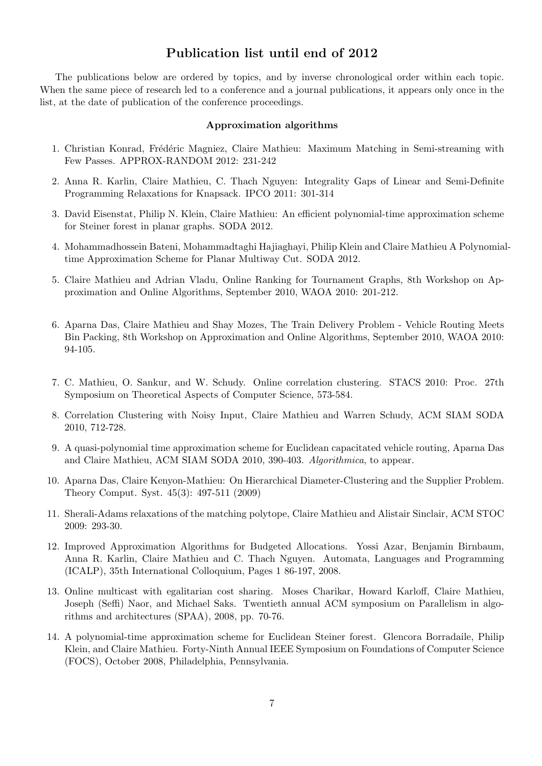# Publication list until end of 2012

The publications below are ordered by topics, and by inverse chronological order within each topic. When the same piece of research led to a conference and a journal publications, it appears only once in the list, at the date of publication of the conference proceedings.

#### Approximation algorithms

- 1. Christian Konrad, Frédéric Magniez, Claire Mathieu: Maximum Matching in Semi-streaming with Few Passes. APPROX-RANDOM 2012: 231-242
- 2. Anna R. Karlin, Claire Mathieu, C. Thach Nguyen: Integrality Gaps of Linear and Semi-Definite Programming Relaxations for Knapsack. IPCO 2011: 301-314
- 3. David Eisenstat, Philip N. Klein, Claire Mathieu: An efficient polynomial-time approximation scheme for Steiner forest in planar graphs. SODA 2012.
- 4. Mohammadhossein Bateni, Mohammadtaghi Hajiaghayi, Philip Klein and Claire Mathieu A Polynomialtime Approximation Scheme for Planar Multiway Cut. SODA 2012.
- 5. Claire Mathieu and Adrian Vladu, Online Ranking for Tournament Graphs, 8th Workshop on Approximation and Online Algorithms, September 2010, WAOA 2010: 201-212.
- 6. Aparna Das, Claire Mathieu and Shay Mozes, The Train Delivery Problem Vehicle Routing Meets Bin Packing, 8th Workshop on Approximation and Online Algorithms, September 2010, WAOA 2010: 94-105.
- 7. C. Mathieu, O. Sankur, and W. Schudy. Online correlation clustering. STACS 2010: Proc. 27th Symposium on Theoretical Aspects of Computer Science, 573-584.
- 8. Correlation Clustering with Noisy Input, Claire Mathieu and Warren Schudy, ACM SIAM SODA 2010, 712-728.
- 9. A quasi-polynomial time approximation scheme for Euclidean capacitated vehicle routing, Aparna Das and Claire Mathieu, ACM SIAM SODA 2010, 390-403. Algorithmica, to appear.
- 10. Aparna Das, Claire Kenyon-Mathieu: On Hierarchical Diameter-Clustering and the Supplier Problem. Theory Comput. Syst. 45(3): 497-511 (2009)
- 11. Sherali-Adams relaxations of the matching polytope, Claire Mathieu and Alistair Sinclair, ACM STOC 2009: 293-30.
- 12. Improved Approximation Algorithms for Budgeted Allocations. Yossi Azar, Benjamin Birnbaum, Anna R. Karlin, Claire Mathieu and C. Thach Nguyen. Automata, Languages and Programming (ICALP), 35th International Colloquium, Pages 1 86-197, 2008.
- 13. Online multicast with egalitarian cost sharing. Moses Charikar, Howard Karloff, Claire Mathieu, Joseph (Seffi) Naor, and Michael Saks. Twentieth annual ACM symposium on Parallelism in algorithms and architectures (SPAA), 2008, pp. 70-76.
- 14. A polynomial-time approximation scheme for Euclidean Steiner forest. Glencora Borradaile, Philip Klein, and Claire Mathieu. Forty-Ninth Annual IEEE Symposium on Foundations of Computer Science (FOCS), October 2008, Philadelphia, Pennsylvania.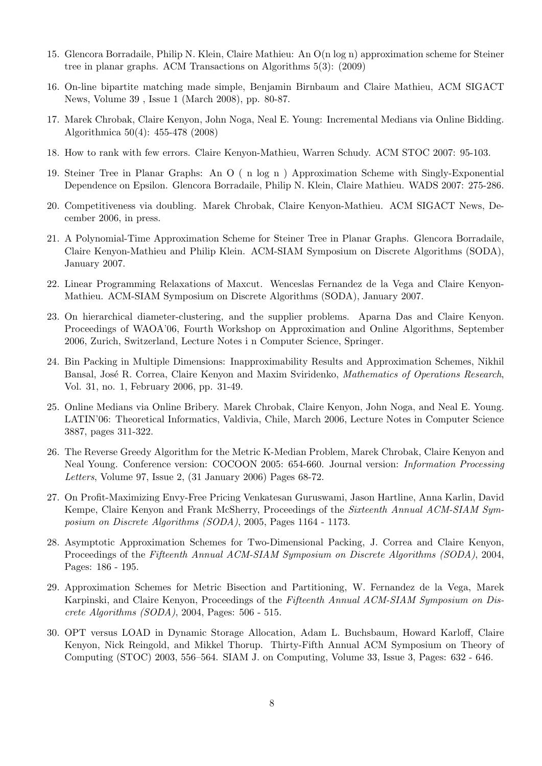- 15. Glencora Borradaile, Philip N. Klein, Claire Mathieu: An O(n log n) approximation scheme for Steiner tree in planar graphs. ACM Transactions on Algorithms 5(3): (2009)
- 16. On-line bipartite matching made simple, Benjamin Birnbaum and Claire Mathieu, ACM SIGACT News, Volume 39 , Issue 1 (March 2008), pp. 80-87.
- 17. Marek Chrobak, Claire Kenyon, John Noga, Neal E. Young: Incremental Medians via Online Bidding. Algorithmica 50(4): 455-478 (2008)
- 18. How to rank with few errors. Claire Kenyon-Mathieu, Warren Schudy. ACM STOC 2007: 95-103.
- 19. Steiner Tree in Planar Graphs: An O ( n log n ) Approximation Scheme with Singly-Exponential Dependence on Epsilon. Glencora Borradaile, Philip N. Klein, Claire Mathieu. WADS 2007: 275-286.
- 20. Competitiveness via doubling. Marek Chrobak, Claire Kenyon-Mathieu. ACM SIGACT News, December 2006, in press.
- 21. A Polynomial-Time Approximation Scheme for Steiner Tree in Planar Graphs. Glencora Borradaile, Claire Kenyon-Mathieu and Philip Klein. ACM-SIAM Symposium on Discrete Algorithms (SODA), January 2007.
- 22. Linear Programming Relaxations of Maxcut. Wenceslas Fernandez de la Vega and Claire Kenyon-Mathieu. ACM-SIAM Symposium on Discrete Algorithms (SODA), January 2007.
- 23. On hierarchical diameter-clustering, and the supplier problems. Aparna Das and Claire Kenyon. Proceedings of WAOA'06, Fourth Workshop on Approximation and Online Algorithms, September 2006, Zurich, Switzerland, Lecture Notes i n Computer Science, Springer.
- 24. Bin Packing in Multiple Dimensions: Inapproximability Results and Approximation Schemes, Nikhil Bansal, José R. Correa, Claire Kenyon and Maxim Sviridenko, Mathematics of Operations Research, Vol. 31, no. 1, February 2006, pp. 31-49.
- 25. Online Medians via Online Bribery. Marek Chrobak, Claire Kenyon, John Noga, and Neal E. Young. LATIN'06: Theoretical Informatics, Valdivia, Chile, March 2006, Lecture Notes in Computer Science 3887, pages 311-322.
- 26. The Reverse Greedy Algorithm for the Metric K-Median Problem, Marek Chrobak, Claire Kenyon and Neal Young. Conference version: COCOON 2005: 654-660. Journal version: Information Processing Letters, Volume 97, Issue 2, (31 January 2006) Pages 68-72.
- 27. On Profit-Maximizing Envy-Free Pricing Venkatesan Guruswami, Jason Hartline, Anna Karlin, David Kempe, Claire Kenyon and Frank McSherry, Proceedings of the *Sixteenth Annual ACM-SIAM Sym*posium on Discrete Algorithms (SODA), 2005, Pages 1164 - 1173.
- 28. Asymptotic Approximation Schemes for Two-Dimensional Packing, J. Correa and Claire Kenyon, Proceedings of the Fifteenth Annual ACM-SIAM Symposium on Discrete Algorithms (SODA), 2004, Pages: 186 - 195.
- 29. Approximation Schemes for Metric Bisection and Partitioning, W. Fernandez de la Vega, Marek Karpinski, and Claire Kenyon, Proceedings of the Fifteenth Annual ACM-SIAM Symposium on Discrete Algorithms (SODA), 2004, Pages: 506 - 515.
- 30. OPT versus LOAD in Dynamic Storage Allocation, Adam L. Buchsbaum, Howard Karloff, Claire Kenyon, Nick Reingold, and Mikkel Thorup. Thirty-Fifth Annual ACM Symposium on Theory of Computing (STOC) 2003, 556–564. SIAM J. on Computing, Volume 33, Issue 3, Pages: 632 - 646.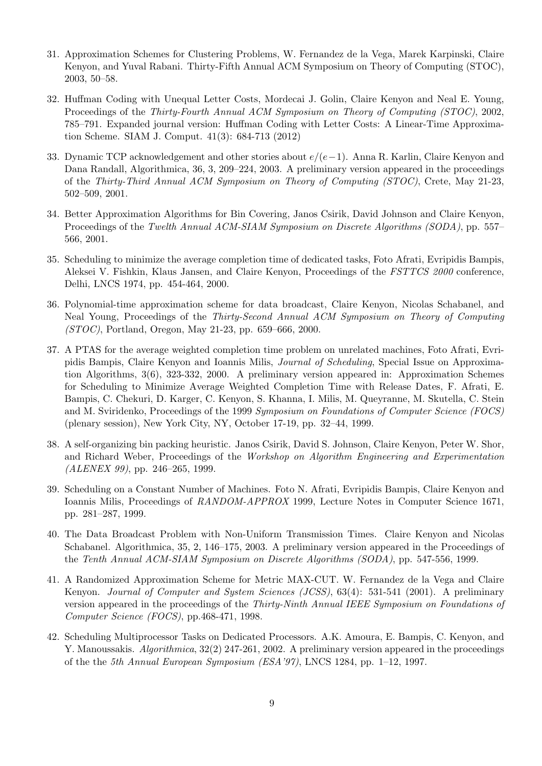- 31. Approximation Schemes for Clustering Problems, W. Fernandez de la Vega, Marek Karpinski, Claire Kenyon, and Yuval Rabani. Thirty-Fifth Annual ACM Symposium on Theory of Computing (STOC), 2003, 50–58.
- 32. Huffman Coding with Unequal Letter Costs, Mordecai J. Golin, Claire Kenyon and Neal E. Young, Proceedings of the Thirty-Fourth Annual ACM Symposium on Theory of Computing (STOC), 2002, 785–791. Expanded journal version: Huffman Coding with Letter Costs: A Linear-Time Approximation Scheme. SIAM J. Comput. 41(3): 684-713 (2012)
- 33. Dynamic TCP acknowledgement and other stories about  $e/(e-1)$ . Anna R. Karlin, Claire Kenyon and Dana Randall, Algorithmica, 36, 3, 209–224, 2003. A preliminary version appeared in the proceedings of the Thirty-Third Annual ACM Symposium on Theory of Computing (STOC), Crete, May 21-23, 502–509, 2001.
- 34. Better Approximation Algorithms for Bin Covering, Janos Csirik, David Johnson and Claire Kenyon, Proceedings of the *Twelth Annual ACM-SIAM Symposium on Discrete Algorithms (SODA)*, pp. 557– 566, 2001.
- 35. Scheduling to minimize the average completion time of dedicated tasks, Foto Afrati, Evripidis Bampis, Aleksei V. Fishkin, Klaus Jansen, and Claire Kenyon, Proceedings of the FSTTCS 2000 conference, Delhi, LNCS 1974, pp. 454-464, 2000.
- 36. Polynomial-time approximation scheme for data broadcast, Claire Kenyon, Nicolas Schabanel, and Neal Young, Proceedings of the Thirty-Second Annual ACM Symposium on Theory of Computing (STOC), Portland, Oregon, May 21-23, pp. 659–666, 2000.
- 37. A PTAS for the average weighted completion time problem on unrelated machines, Foto Afrati, Evripidis Bampis, Claire Kenyon and Ioannis Milis, Journal of Scheduling, Special Issue on Approximation Algorithms, 3(6), 323-332, 2000. A preliminary version appeared in: Approximation Schemes for Scheduling to Minimize Average Weighted Completion Time with Release Dates, F. Afrati, E. Bampis, C. Chekuri, D. Karger, C. Kenyon, S. Khanna, I. Milis, M. Queyranne, M. Skutella, C. Stein and M. Sviridenko, Proceedings of the 1999 Symposium on Foundations of Computer Science (FOCS) (plenary session), New York City, NY, October 17-19, pp. 32–44, 1999.
- 38. A self-organizing bin packing heuristic. Janos Csirik, David S. Johnson, Claire Kenyon, Peter W. Shor, and Richard Weber, Proceedings of the Workshop on Algorithm Engineering and Experimentation  $(ALENEX 99)$ , pp. 246–265, 1999.
- 39. Scheduling on a Constant Number of Machines. Foto N. Afrati, Evripidis Bampis, Claire Kenyon and Ioannis Milis, Proceedings of RANDOM-APPROX 1999, Lecture Notes in Computer Science 1671, pp. 281–287, 1999.
- 40. The Data Broadcast Problem with Non-Uniform Transmission Times. Claire Kenyon and Nicolas Schabanel. Algorithmica, 35, 2, 146–175, 2003. A preliminary version appeared in the Proceedings of the Tenth Annual ACM-SIAM Symposium on Discrete Algorithms (SODA), pp. 547-556, 1999.
- 41. A Randomized Approximation Scheme for Metric MAX-CUT. W. Fernandez de la Vega and Claire Kenyon. Journal of Computer and System Sciences (JCSS), 63(4): 531-541 (2001). A preliminary version appeared in the proceedings of the Thirty-Ninth Annual IEEE Symposium on Foundations of Computer Science (FOCS), pp.468-471, 1998.
- 42. Scheduling Multiprocessor Tasks on Dedicated Processors. A.K. Amoura, E. Bampis, C. Kenyon, and Y. Manoussakis. *Algorithmica*,  $32(2)$  247-261, 2002. A preliminary version appeared in the proceedings of the the 5th Annual European Symposium (ESA'97), LNCS 1284, pp. 1–12, 1997.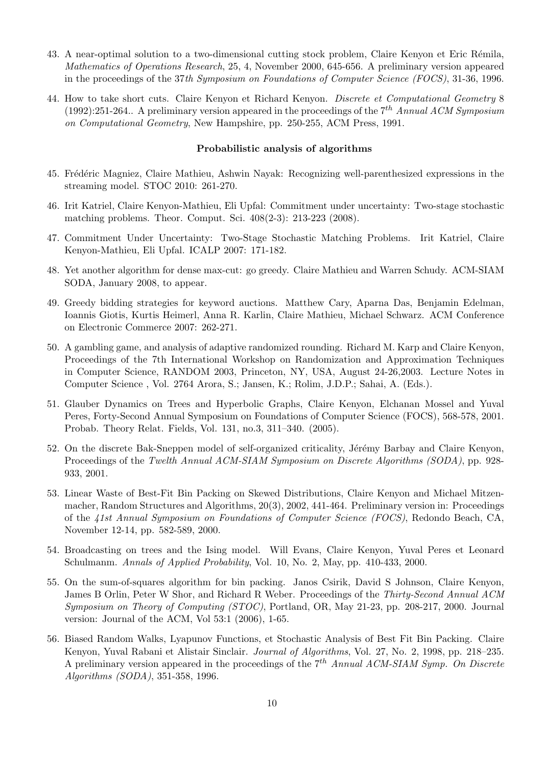- 43. A near-optimal solution to a two-dimensional cutting stock problem, Claire Kenyon et Eric Rémila, Mathematics of Operations Research, 25, 4, November 2000, 645-656. A preliminary version appeared in the proceedings of the 37th Symposium on Foundations of Computer Science (FOCS), 31-36, 1996.
- 44. How to take short cuts. Claire Kenyon et Richard Kenyon. Discrete et Computational Geometry 8 (1992):251-264.. A preliminary version appeared in the proceedings of the  $7<sup>th</sup>$  Annual ACM Symposium on Computational Geometry, New Hampshire, pp. 250-255, ACM Press, 1991.

#### Probabilistic analysis of algorithms

- 45. Frédéric Magniez, Claire Mathieu, Ashwin Nayak: Recognizing well-parenthesized expressions in the streaming model. STOC 2010: 261-270.
- 46. Irit Katriel, Claire Kenyon-Mathieu, Eli Upfal: Commitment under uncertainty: Two-stage stochastic matching problems. Theor. Comput. Sci. 408(2-3): 213-223 (2008).
- 47. Commitment Under Uncertainty: Two-Stage Stochastic Matching Problems. Irit Katriel, Claire Kenyon-Mathieu, Eli Upfal. ICALP 2007: 171-182.
- 48. Yet another algorithm for dense max-cut: go greedy. Claire Mathieu and Warren Schudy. ACM-SIAM SODA, January 2008, to appear.
- 49. Greedy bidding strategies for keyword auctions. Matthew Cary, Aparna Das, Benjamin Edelman, Ioannis Giotis, Kurtis Heimerl, Anna R. Karlin, Claire Mathieu, Michael Schwarz. ACM Conference on Electronic Commerce 2007: 262-271.
- 50. A gambling game, and analysis of adaptive randomized rounding. Richard M. Karp and Claire Kenyon, Proceedings of the 7th International Workshop on Randomization and Approximation Techniques in Computer Science, RANDOM 2003, Princeton, NY, USA, August 24-26,2003. Lecture Notes in Computer Science , Vol. 2764 Arora, S.; Jansen, K.; Rolim, J.D.P.; Sahai, A. (Eds.).
- 51. Glauber Dynamics on Trees and Hyperbolic Graphs, Claire Kenyon, Elchanan Mossel and Yuval Peres, Forty-Second Annual Symposium on Foundations of Computer Science (FOCS), 568-578, 2001. Probab. Theory Relat. Fields, Vol. 131, no.3, 311–340. (2005).
- 52. On the discrete Bak-Sneppen model of self-organized criticality, Jérémy Barbay and Claire Kenyon, Proceedings of the Twelth Annual ACM-SIAM Symposium on Discrete Algorithms (SODA), pp. 928-933, 2001.
- 53. Linear Waste of Best-Fit Bin Packing on Skewed Distributions, Claire Kenyon and Michael Mitzenmacher, Random Structures and Algorithms, 20(3), 2002, 441-464. Preliminary version in: Proceedings of the 41st Annual Symposium on Foundations of Computer Science (FOCS), Redondo Beach, CA, November 12-14, pp. 582-589, 2000.
- 54. Broadcasting on trees and the Ising model. Will Evans, Claire Kenyon, Yuval Peres et Leonard Schulmanm. Annals of Applied Probability, Vol. 10, No. 2, May, pp. 410-433, 2000.
- 55. On the sum-of-squares algorithm for bin packing. Janos Csirik, David S Johnson, Claire Kenyon, James B Orlin, Peter W Shor, and Richard R Weber. Proceedings of the Thirty-Second Annual ACM Symposium on Theory of Computing (STOC), Portland, OR, May 21-23, pp. 208-217, 2000. Journal version: Journal of the ACM, Vol 53:1 (2006), 1-65.
- 56. Biased Random Walks, Lyapunov Functions, et Stochastic Analysis of Best Fit Bin Packing. Claire Kenyon, Yuval Rabani et Alistair Sinclair. Journal of Algorithms, Vol. 27, No. 2, 1998, pp. 218–235. A preliminary version appeared in the proceedings of the  $7<sup>th</sup>$  Annual ACM-SIAM Symp. On Discrete Algorithms (SODA), 351-358, 1996.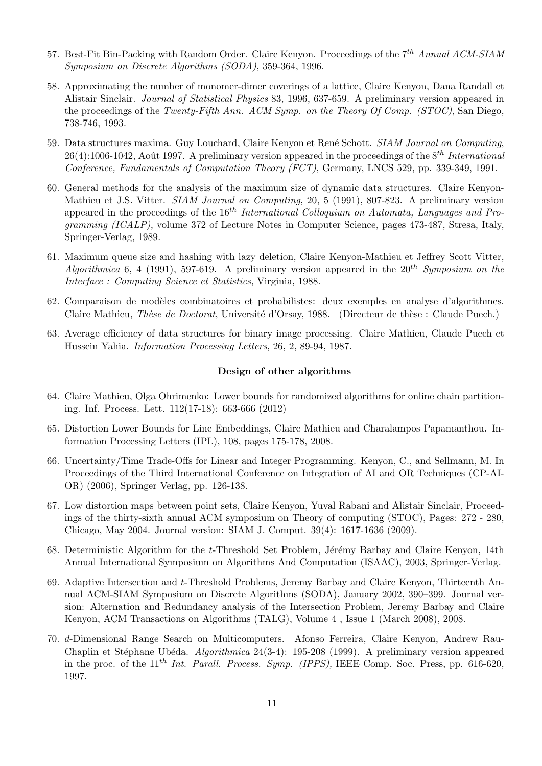- 57. Best-Fit Bin-Packing with Random Order. Claire Kenyon. Proceedings of the 7<sup>th</sup> Annual ACM-SIAM Symposium on Discrete Algorithms (SODA), 359-364, 1996.
- 58. Approximating the number of monomer-dimer coverings of a lattice, Claire Kenyon, Dana Randall et Alistair Sinclair. Journal of Statistical Physics 83, 1996, 637-659. A preliminary version appeared in the proceedings of the Twenty-Fifth Ann. ACM Symp. on the Theory Of Comp. (STOC), San Diego, 738-746, 1993.
- 59. Data structures maxima. Guy Louchard, Claire Kenyon et René Schott. SIAM Journal on Computing, 26(4):1006-1042, Août 1997. A preliminary version appeared in the proceedings of the  $8^{th}$  International Conference, Fundamentals of Computation Theory (FCT), Germany, LNCS 529, pp. 339-349, 1991.
- 60. General methods for the analysis of the maximum size of dynamic data structures. Claire Kenyon-Mathieu et J.S. Vitter. SIAM Journal on Computing, 20, 5 (1991), 807-823. A preliminary version appeared in the proceedings of the  $16<sup>th</sup> International Collaboration$  *Colloquium on Automata, Languages and Pro*gramming (ICALP), volume 372 of Lecture Notes in Computer Science, pages 473-487, Stresa, Italy, Springer-Verlag, 1989.
- 61. Maximum queue size and hashing with lazy deletion, Claire Kenyon-Mathieu et Jeffrey Scott Vitter, Algorithmica 6, 4 (1991), 597-619. A preliminary version appeared in the  $20^{th}$  Symposium on the Interface : Computing Science et Statistics, Virginia, 1988.
- 62. Comparaison de modèles combinatoires et probabilistes: deux exemples en analyse d'algorithmes. Claire Mathieu, *Thèse de Doctorat*, Université d'Orsay, 1988. (Directeur de thèse : Claude Puech.)
- 63. Average efficiency of data structures for binary image processing. Claire Mathieu, Claude Puech et Hussein Yahia. Information Processing Letters, 26, 2, 89-94, 1987.

#### Design of other algorithms

- 64. Claire Mathieu, Olga Ohrimenko: Lower bounds for randomized algorithms for online chain partitioning. Inf. Process. Lett. 112(17-18): 663-666 (2012)
- 65. Distortion Lower Bounds for Line Embeddings, Claire Mathieu and Charalampos Papamanthou. Information Processing Letters (IPL), 108, pages 175-178, 2008.
- 66. Uncertainty/Time Trade-Offs for Linear and Integer Programming. Kenyon, C., and Sellmann, M. In Proceedings of the Third International Conference on Integration of AI and OR Techniques (CP-AI-OR) (2006), Springer Verlag, pp. 126-138.
- 67. Low distortion maps between point sets, Claire Kenyon, Yuval Rabani and Alistair Sinclair, Proceedings of the thirty-sixth annual ACM symposium on Theory of computing (STOC), Pages: 272 - 280, Chicago, May 2004. Journal version: SIAM J. Comput. 39(4): 1617-1636 (2009).
- 68. Deterministic Algorithm for the t-Threshold Set Problem, Jérémy Barbay and Claire Kenyon, 14th Annual International Symposium on Algorithms And Computation (ISAAC), 2003, Springer-Verlag.
- 69. Adaptive Intersection and t-Threshold Problems, Jeremy Barbay and Claire Kenyon, Thirteenth Annual ACM-SIAM Symposium on Discrete Algorithms (SODA), January 2002, 390–399. Journal version: Alternation and Redundancy analysis of the Intersection Problem, Jeremy Barbay and Claire Kenyon, ACM Transactions on Algorithms (TALG), Volume 4 , Issue 1 (March 2008), 2008.
- 70. d-Dimensional Range Search on Multicomputers. Afonso Ferreira, Claire Kenyon, Andrew Rau-Chaplin et Stéphane Ubéda. Algorithmica 24(3-4): 195-208 (1999). A preliminary version appeared in the proc. of the 11<sup>th</sup> Int. Parall. Process. Symp. (IPPS), IEEE Comp. Soc. Press, pp. 616-620, 1997.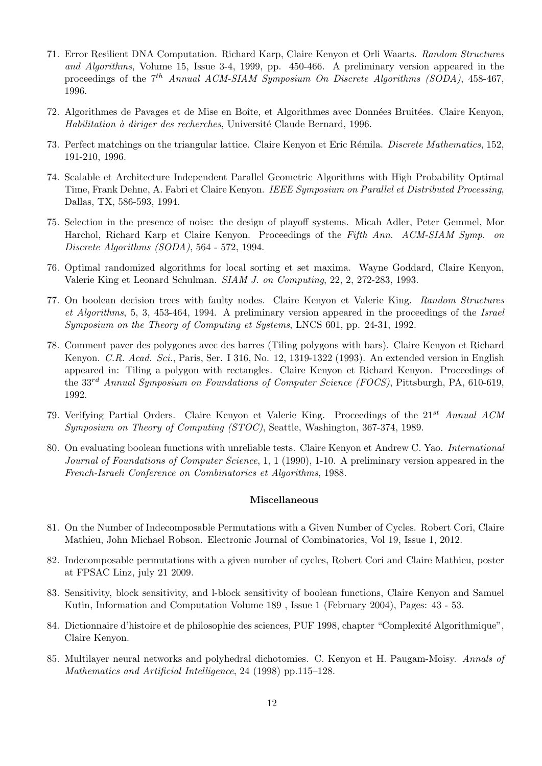- 71. Error Resilient DNA Computation. Richard Karp, Claire Kenyon et Orli Waarts. Random Structures and Algorithms, Volume 15, Issue 3-4, 1999, pp. 450-466. A preliminary version appeared in the proceedings of the  $7<sup>th</sup>$  Annual ACM-SIAM Symposium On Discrete Algorithms (SODA), 458-467, 1996.
- 72. Algorithmes de Pavages et de Mise en Boîte, et Algorithmes avec Données Bruitées. Claire Kenyon, Habilitation à diriger des recherches, Université Claude Bernard, 1996.
- 73. Perfect matchings on the triangular lattice. Claire Kenyon et Eric Rémila. Discrete Mathematics, 152, 191-210, 1996.
- 74. Scalable et Architecture Independent Parallel Geometric Algorithms with High Probability Optimal Time, Frank Dehne, A. Fabri et Claire Kenyon. IEEE Symposium on Parallel et Distributed Processing, Dallas, TX, 586-593, 1994.
- 75. Selection in the presence of noise: the design of playoff systems. Micah Adler, Peter Gemmel, Mor Harchol, Richard Karp et Claire Kenyon. Proceedings of the Fifth Ann. ACM-SIAM Symp. on Discrete Algorithms (SODA), 564 - 572, 1994.
- 76. Optimal randomized algorithms for local sorting et set maxima. Wayne Goddard, Claire Kenyon, Valerie King et Leonard Schulman. SIAM J. on Computing, 22, 2, 272-283, 1993.
- 77. On boolean decision trees with faulty nodes. Claire Kenyon et Valerie King. Random Structures et Algorithms, 5, 3, 453-464, 1994. A preliminary version appeared in the proceedings of the Israel Symposium on the Theory of Computing et Systems, LNCS 601, pp. 24-31, 1992.
- 78. Comment paver des polygones avec des barres (Tiling polygons with bars). Claire Kenyon et Richard Kenyon. C.R. Acad. Sci., Paris, Ser. I 316, No. 12, 1319-1322 (1993). An extended version in English appeared in: Tiling a polygon with rectangles. Claire Kenyon et Richard Kenyon. Proceedings of the 33<sup>rd</sup> Annual Symposium on Foundations of Computer Science (FOCS), Pittsburgh, PA, 610-619, 1992.
- 79. Verifying Partial Orders. Claire Kenyon et Valerie King. Proceedings of the  $21^{st}$  Annual ACM Symposium on Theory of Computing (STOC), Seattle, Washington, 367-374, 1989.
- 80. On evaluating boolean functions with unreliable tests. Claire Kenyon et Andrew C. Yao. International Journal of Foundations of Computer Science, 1, 1 (1990), 1-10. A preliminary version appeared in the French-Israeli Conference on Combinatorics et Algorithms, 1988.

#### Miscellaneous

- 81. On the Number of Indecomposable Permutations with a Given Number of Cycles. Robert Cori, Claire Mathieu, John Michael Robson. Electronic Journal of Combinatorics, Vol 19, Issue 1, 2012.
- 82. Indecomposable permutations with a given number of cycles, Robert Cori and Claire Mathieu, poster at FPSAC Linz, july 21 2009.
- 83. Sensitivity, block sensitivity, and l-block sensitivity of boolean functions, Claire Kenyon and Samuel Kutin, Information and Computation Volume 189 , Issue 1 (February 2004), Pages: 43 - 53.
- 84. Dictionnaire d'histoire et de philosophie des sciences, PUF 1998, chapter "Complexité Algorithmique", Claire Kenyon.
- 85. Multilayer neural networks and polyhedral dichotomies. C. Kenyon et H. Paugam-Moisy. Annals of Mathematics and Artificial Intelligence, 24 (1998) pp.115–128.